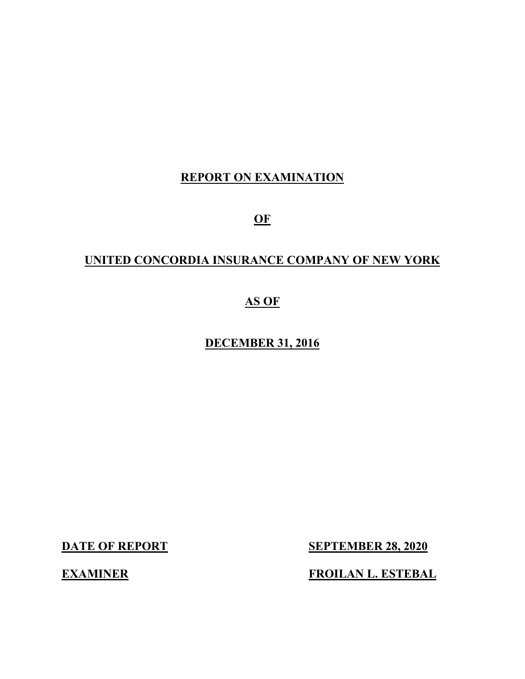# **REPORT ON EXAMINATION**

**OF**

# **UNITED CONCORDIA INSURANCE COMPANY OF NEW YORK**

# **AS OF**

# **DECEMBER 31, 2016**

**DATE OF REPORT SEPTEMBER 28, 2020**

**EXAMINER FROILAN L. ESTEBAL**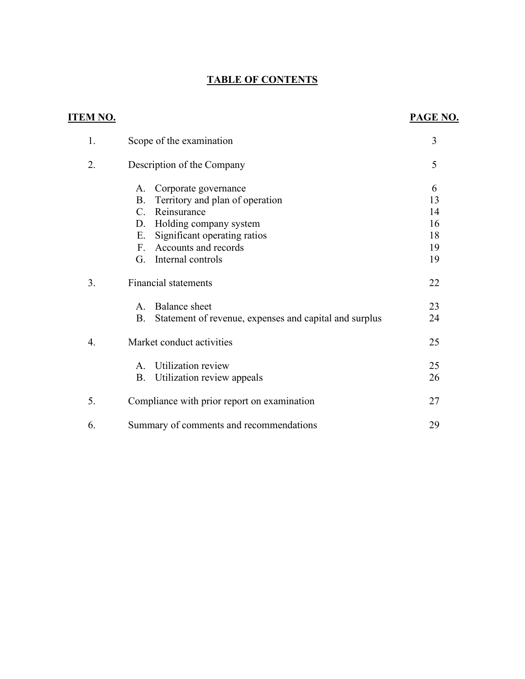# **TABLE OF CONTENTS**

| <u>ITEM NO.</u> |                                                                     | <b>PAGE NO.</b> |
|-----------------|---------------------------------------------------------------------|-----------------|
| 1.              | Scope of the examination                                            | 3               |
| 2.              | Description of the Company                                          | 5               |
|                 | Corporate governance<br>А.                                          | 6               |
|                 | Territory and plan of operation<br><b>B.</b>                        | 13              |
|                 | Reinsurance<br>C.                                                   | 14              |
|                 | Holding company system<br>D.                                        | 16              |
|                 | Significant operating ratios<br>Ε.                                  | 18              |
|                 | Accounts and records<br>F.                                          | 19              |
|                 | Internal controls<br>G.                                             | 19              |
| 3.              | <b>Financial statements</b>                                         | 22              |
|                 | <b>Balance</b> sheet<br>$\mathsf{A}$ .                              | 23              |
|                 | <b>B.</b><br>Statement of revenue, expenses and capital and surplus | 24              |
| 4.              | Market conduct activities                                           | 25              |
|                 | Utilization review<br>A.                                            | 25              |
|                 | Utilization review appeals<br><b>B.</b>                             | 26              |
| 5.              | Compliance with prior report on examination                         | 27              |
| 6.              | Summary of comments and recommendations                             | 29              |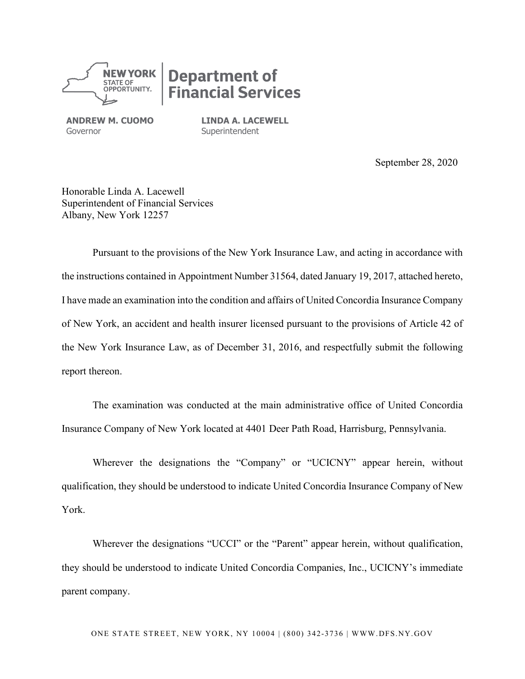

# **Department of<br>Financial Services**

**ANDREW M. CUOMO** Governor

**LINDA A. LACEWELL Superintendent** 

September 28, 2020

Honorable Linda A. Lacewell Superintendent of Financial Services Albany, New York 12257

Pursuant to the provisions of the New York Insurance Law, and acting in accordance with the instructions contained in Appointment Number 31564, dated January 19, 2017, attached hereto, I have made an examination into the condition and affairs of United Concordia Insurance Company of New York, an accident and health insurer licensed pursuant to the provisions of Article 42 of the New York Insurance Law, as of December 31, 2016, and respectfully submit the following report thereon.

The examination was conducted at the main administrative office of United Concordia Insurance Company of New York located at 4401 Deer Path Road, Harrisburg, Pennsylvania.

Wherever the designations the "Company" or "UCICNY" appear herein, without qualification, they should be understood to indicate United Concordia Insurance Company of New York.

Wherever the designations "UCCI" or the "Parent" appear herein, without qualification, they should be understood to indicate United Concordia Companies, Inc., UCICNY's immediate parent company.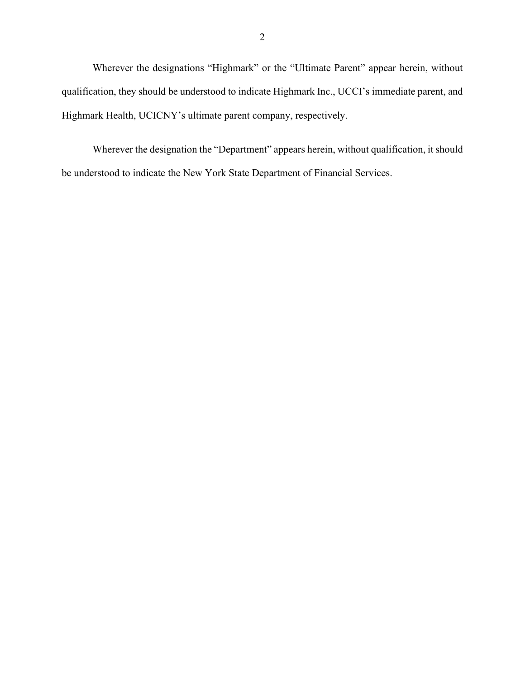Wherever the designations "Highmark" or the "Ultimate Parent" appear herein, without qualification, they should be understood to indicate Highmark Inc., UCCI's immediate parent, and Highmark Health, UCICNY's ultimate parent company, respectively.

Wherever the designation the "Department" appears herein, without qualification, it should be understood to indicate the New York State Department of Financial Services.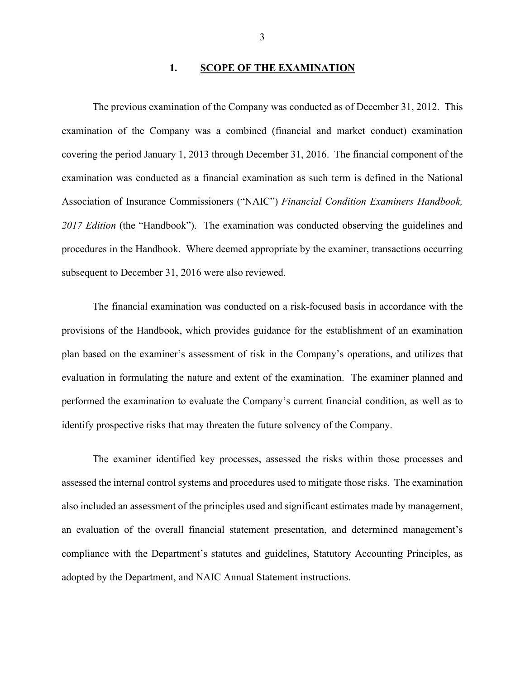#### **1. SCOPE OF THE EXAMINATION**

The previous examination of the Company was conducted as of December 31, 2012. This examination of the Company was a combined (financial and market conduct) examination covering the period January 1, 2013 through December 31, 2016. The financial component of the examination was conducted as a financial examination as such term is defined in the National Association of Insurance Commissioners ("NAIC") *Financial Condition Examiners Handbook, 2017 Edition* (the "Handbook"). The examination was conducted observing the guidelines and procedures in the Handbook. Where deemed appropriate by the examiner, transactions occurring subsequent to December 31, 2016 were also reviewed.

The financial examination was conducted on a risk-focused basis in accordance with the provisions of the Handbook, which provides guidance for the establishment of an examination plan based on the examiner's assessment of risk in the Company's operations, and utilizes that evaluation in formulating the nature and extent of the examination. The examiner planned and performed the examination to evaluate the Company's current financial condition, as well as to identify prospective risks that may threaten the future solvency of the Company.

The examiner identified key processes, assessed the risks within those processes and assessed the internal control systems and procedures used to mitigate those risks. The examination also included an assessment of the principles used and significant estimates made by management, an evaluation of the overall financial statement presentation, and determined management's compliance with the Department's statutes and guidelines, Statutory Accounting Principles, as adopted by the Department, and NAIC Annual Statement instructions.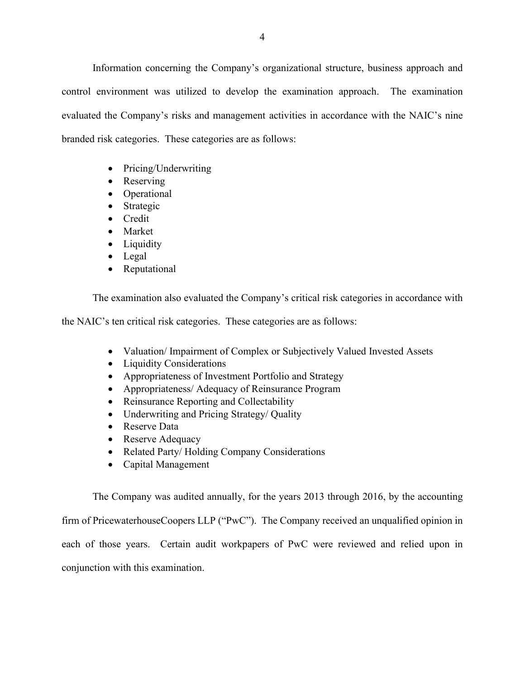Information concerning the Company's organizational structure, business approach and control environment was utilized to develop the examination approach. The examination evaluated the Company's risks and management activities in accordance with the NAIC's nine branded risk categories. These categories are as follows:

- Pricing/Underwriting
- Reserving
- Operational
- Strategic
- Credit
- Market
- Liquidity
- Legal
- Reputational

The examination also evaluated the Company's critical risk categories in accordance with

the NAIC's ten critical risk categories. These categories are as follows:

- Valuation/ Impairment of Complex or Subjectively Valued Invested Assets
- Liquidity Considerations
- Appropriateness of Investment Portfolio and Strategy
- Appropriateness/ Adequacy of Reinsurance Program
- Reinsurance Reporting and Collectability
- Underwriting and Pricing Strategy/ Quality
- Reserve Data
- Reserve Adequacy
- Related Party/ Holding Company Considerations
- Capital Management

The Company was audited annually, for the years 2013 through 2016, by the accounting firm of PricewaterhouseCoopers LLP ("PwC"). The Company received an unqualified opinion in each of those years. Certain audit workpapers of PwC were reviewed and relied upon in conjunction with this examination.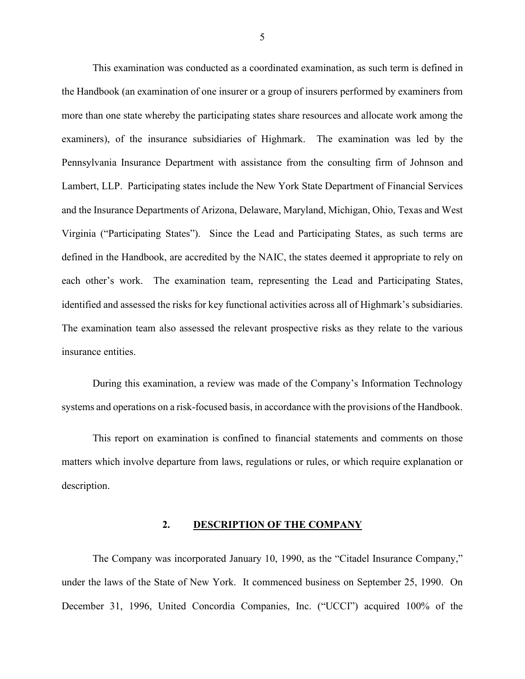This examination was conducted as a coordinated examination, as such term is defined in the Handbook (an examination of one insurer or a group of insurers performed by examiners from more than one state whereby the participating states share resources and allocate work among the examiners), of the insurance subsidiaries of Highmark. The examination was led by the Pennsylvania Insurance Department with assistance from the consulting firm of Johnson and Lambert, LLP. Participating states include the New York State Department of Financial Services and the Insurance Departments of Arizona, Delaware, Maryland, Michigan, Ohio, Texas and West Virginia ("Participating States"). Since the Lead and Participating States, as such terms are defined in the Handbook, are accredited by the NAIC, the states deemed it appropriate to rely on each other's work. The examination team, representing the Lead and Participating States, identified and assessed the risks for key functional activities across all of Highmark's subsidiaries. The examination team also assessed the relevant prospective risks as they relate to the various insurance entities.

During this examination, a review was made of the Company's Information Technology systems and operations on a risk-focused basis, in accordance with the provisions of the Handbook.

This report on examination is confined to financial statements and comments on those matters which involve departure from laws, regulations or rules, or which require explanation or description.

#### **2. DESCRIPTION OF THE COMPANY**

The Company was incorporated January 10, 1990, as the "Citadel Insurance Company," under the laws of the State of New York. It commenced business on September 25, 1990. On December 31, 1996, United Concordia Companies, Inc. ("UCCI") acquired 100% of the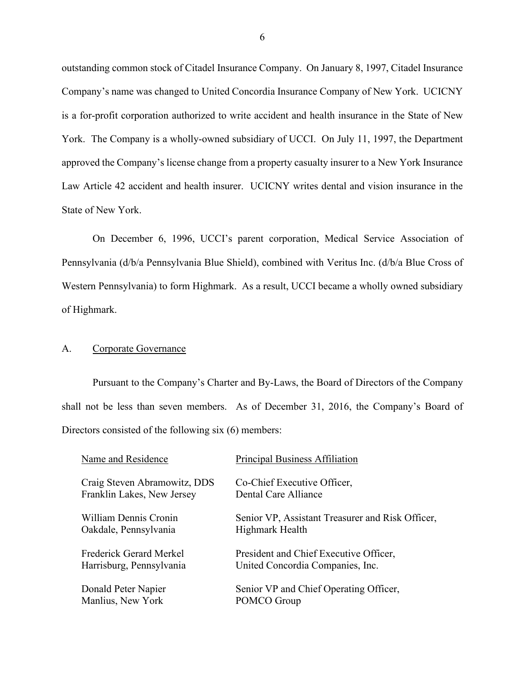outstanding common stock of Citadel Insurance Company. On January 8, 1997, Citadel Insurance Company's name was changed to United Concordia Insurance Company of New York. UCICNY is a for-profit corporation authorized to write accident and health insurance in the State of New York. The Company is a wholly-owned subsidiary of UCCI. On July 11, 1997, the Department approved the Company's license change from a property casualty insurer to a New York Insurance Law Article 42 accident and health insurer. UCICNY writes dental and vision insurance in the State of New York.

On December 6, 1996, UCCI's parent corporation, Medical Service Association of Pennsylvania (d/b/a Pennsylvania Blue Shield), combined with Veritus Inc. (d/b/a Blue Cross of Western Pennsylvania) to form Highmark. As a result, UCCI became a wholly owned subsidiary of Highmark.

#### A. Corporate Governance

Pursuant to the Company's Charter and By-Laws, the Board of Directors of the Company shall not be less than seven members. As of December 31, 2016, the Company's Board of Directors consisted of the following six (6) members:

| Name and Residence           | Principal Business Affiliation                   |
|------------------------------|--------------------------------------------------|
| Craig Steven Abramowitz, DDS | Co-Chief Executive Officer,                      |
| Franklin Lakes, New Jersey   | Dental Care Alliance                             |
| William Dennis Cronin        | Senior VP, Assistant Treasurer and Risk Officer, |
| Oakdale, Pennsylvania        | Highmark Health                                  |
| Frederick Gerard Merkel      | President and Chief Executive Officer,           |
| Harrisburg, Pennsylvania     | United Concordia Companies, Inc.                 |
| Donald Peter Napier          | Senior VP and Chief Operating Officer,           |
| Manlius, New York            | POMCO Group                                      |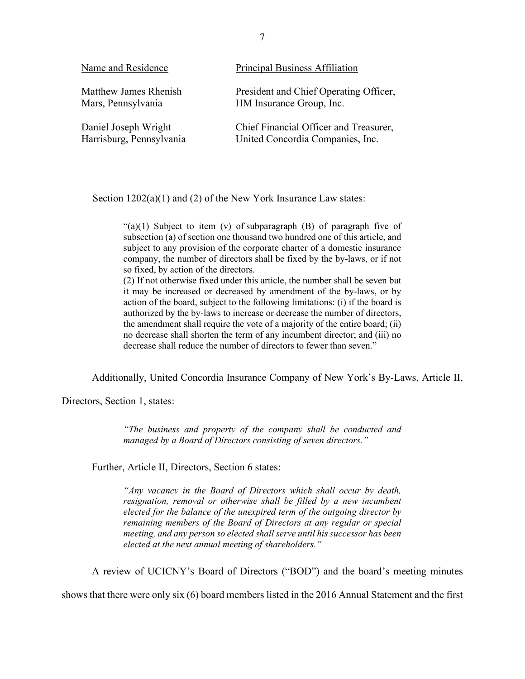| Name and Residence       | Principal Business Affiliation         |
|--------------------------|----------------------------------------|
| Matthew James Rhenish    | President and Chief Operating Officer, |
| Mars, Pennsylvania       | HM Insurance Group, Inc.               |
| Daniel Joseph Wright     | Chief Financial Officer and Treasurer, |
| Harrisburg, Pennsylvania | United Concordia Companies, Inc.       |

Section  $1202(a)(1)$  and (2) of the New York Insurance Law states:

" $(a)(1)$  Subject to item  $(v)$  of subparagraph  $(B)$  of paragraph five of subsection (a) of section one thousand two hundred one of this article, and subject to any provision of the corporate charter of a domestic insurance company, the number of directors shall be fixed by the by-laws, or if not so fixed, by action of the directors.

(2) If not otherwise fixed under this article, the number shall be seven but it may be increased or decreased by amendment of the by-laws, or by action of the board, subject to the following limitations: (i) if the board is authorized by the by-laws to increase or decrease the number of directors, the amendment shall require the vote of a majority of the entire board; (ii) no decrease shall shorten the term of any incumbent director; and (iii) no decrease shall reduce the number of directors to fewer than seven."

Additionally, United Concordia Insurance Company of New York's By-Laws, Article II,

Directors, Section 1, states:

*"The business and property of the company shall be conducted and managed by a Board of Directors consisting of seven directors."*

Further, Article II, Directors, Section 6 states:

*"Any vacancy in the Board of Directors which shall occur by death, resignation, removal or otherwise shall be filled by a new incumbent elected for the balance of the unexpired term of the outgoing director by remaining members of the Board of Directors at any regular or special meeting, and any person so elected shall serve until his successor has been elected at the next annual meeting of shareholders."*

A review of UCICNY's Board of Directors ("BOD") and the board's meeting minutes

shows that there were only six (6) board members listed in the 2016 Annual Statement and the first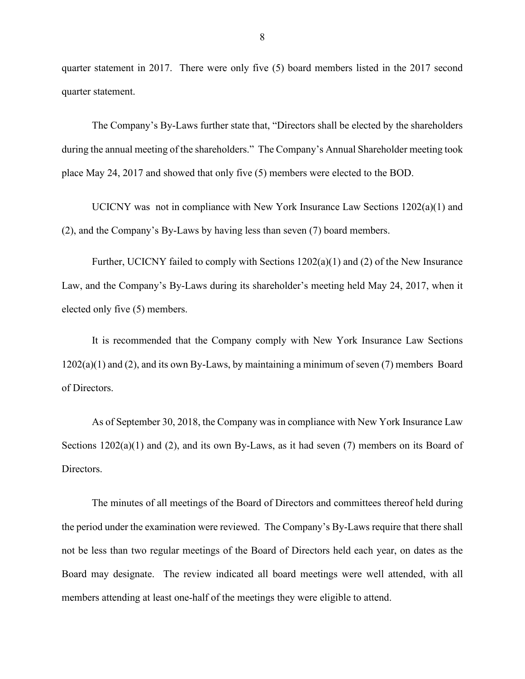quarter statement in 2017. There were only five (5) board members listed in the 2017 second quarter statement.

The Company's By-Laws further state that, "Directors shall be elected by the shareholders during the annual meeting of the shareholders." The Company's Annual Shareholder meeting took place May 24, 2017 and showed that only five (5) members were elected to the BOD.

UCICNY was not in compliance with New York Insurance Law Sections 1202(a)(1) and (2), and the Company's By-Laws by having less than seven (7) board members.

Further, UCICNY failed to comply with Sections 1202(a)(1) and (2) of the New Insurance Law, and the Company's By-Laws during its shareholder's meeting held May 24, 2017, when it elected only five (5) members.

It is recommended that the Company comply with New York Insurance Law Sections  $1202(a)(1)$  and  $(2)$ , and its own By-Laws, by maintaining a minimum of seven  $(7)$  members Board of Directors.

As of September 30, 2018, the Company was in compliance with New York Insurance Law Sections  $1202(a)(1)$  and  $(2)$ , and its own By-Laws, as it had seven (7) members on its Board of Directors.

The minutes of all meetings of the Board of Directors and committees thereof held during the period under the examination were reviewed. The Company's By-Laws require that there shall not be less than two regular meetings of the Board of Directors held each year, on dates as the Board may designate. The review indicated all board meetings were well attended, with all members attending at least one-half of the meetings they were eligible to attend.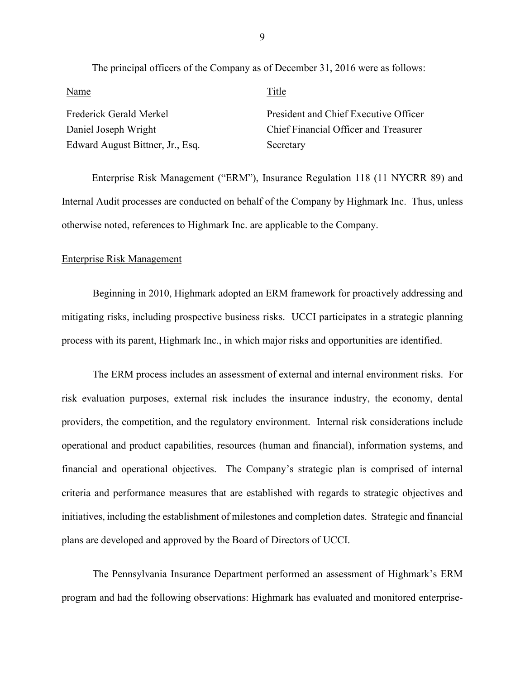| Name                             | Title                                 |
|----------------------------------|---------------------------------------|
| Frederick Gerald Merkel          | President and Chief Executive Officer |
| Daniel Joseph Wright             | Chief Financial Officer and Treasurer |
| Edward August Bittner, Jr., Esq. | Secretary                             |

Enterprise Risk Management ("ERM"), Insurance Regulation 118 (11 NYCRR 89) and Internal Audit processes are conducted on behalf of the Company by Highmark Inc. Thus, unless otherwise noted, references to Highmark Inc. are applicable to the Company.

#### Enterprise Risk Management

Beginning in 2010, Highmark adopted an ERM framework for proactively addressing and mitigating risks, including prospective business risks. UCCI participates in a strategic planning process with its parent, Highmark Inc., in which major risks and opportunities are identified.

The ERM process includes an assessment of external and internal environment risks. For risk evaluation purposes, external risk includes the insurance industry, the economy, dental providers, the competition, and the regulatory environment. Internal risk considerations include operational and product capabilities, resources (human and financial), information systems, and financial and operational objectives. The Company's strategic plan is comprised of internal criteria and performance measures that are established with regards to strategic objectives and initiatives, including the establishment of milestones and completion dates. Strategic and financial plans are developed and approved by the Board of Directors of UCCI.

The Pennsylvania Insurance Department performed an assessment of Highmark's ERM program and had the following observations: Highmark has evaluated and monitored enterprise-

9

The principal officers of the Company as of December 31, 2016 were as follows: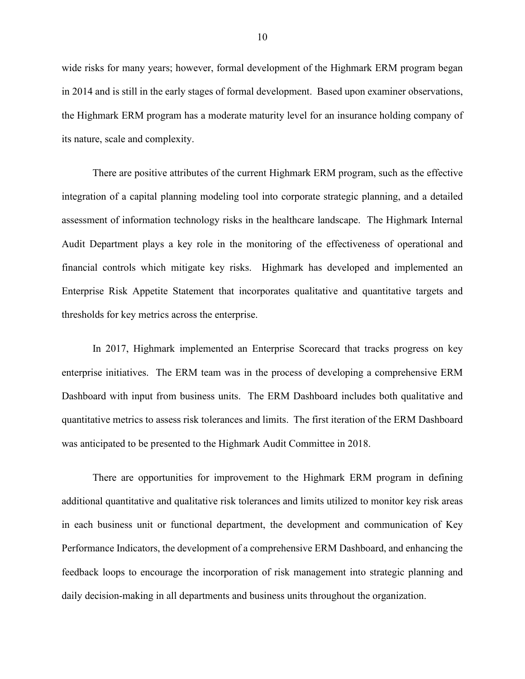wide risks for many years; however, formal development of the Highmark ERM program began in 2014 and is still in the early stages of formal development. Based upon examiner observations, the Highmark ERM program has a moderate maturity level for an insurance holding company of its nature, scale and complexity.

There are positive attributes of the current Highmark ERM program, such as the effective integration of a capital planning modeling tool into corporate strategic planning, and a detailed assessment of information technology risks in the healthcare landscape. The Highmark Internal Audit Department plays a key role in the monitoring of the effectiveness of operational and financial controls which mitigate key risks. Highmark has developed and implemented an Enterprise Risk Appetite Statement that incorporates qualitative and quantitative targets and thresholds for key metrics across the enterprise.

In 2017, Highmark implemented an Enterprise Scorecard that tracks progress on key enterprise initiatives. The ERM team was in the process of developing a comprehensive ERM Dashboard with input from business units. The ERM Dashboard includes both qualitative and quantitative metrics to assess risk tolerances and limits. The first iteration of the ERM Dashboard was anticipated to be presented to the Highmark Audit Committee in 2018.

There are opportunities for improvement to the Highmark ERM program in defining additional quantitative and qualitative risk tolerances and limits utilized to monitor key risk areas in each business unit or functional department, the development and communication of Key Performance Indicators, the development of a comprehensive ERM Dashboard, and enhancing the feedback loops to encourage the incorporation of risk management into strategic planning and daily decision-making in all departments and business units throughout the organization.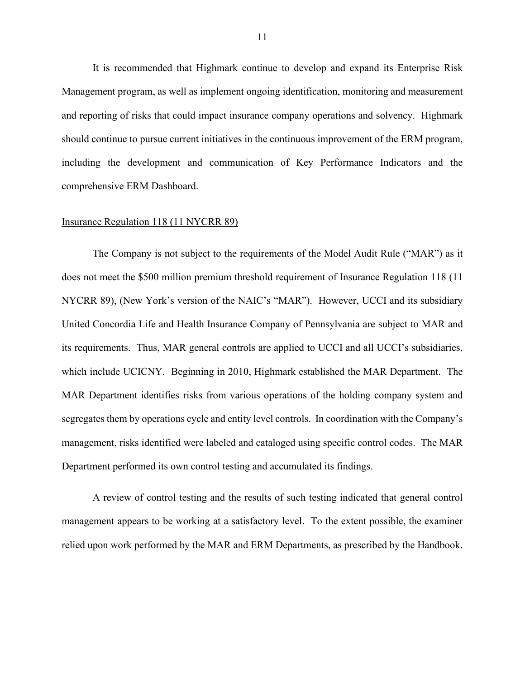It is recommended that Highmark continue to develop and expand its Enterprise Risk Management program, as well as implement ongoing identification, monitoring and measurement and reporting of risks that could impact insurance company operations and solvency. Highmark should continue to pursue current initiatives in the continuous improvement of the ERM program, including the development and communication of Key Performance Indicators and the comprehensive ERM Dashboard.

#### Insurance Regulation 118 (11 NYCRR 89)

The Company is not subject to the requirements of the Model Audit Rule ("MAR") as it does not meet the \$500 million premium threshold requirement of Insurance Regulation 118 (11 NYCRR 89), (New York's version of the NAIC's "MAR"). However, UCCI and its subsidiary United Concordia Life and Health Insurance Company of Pennsylvania are subject to MAR and its requirements. Thus, MAR general controls are applied to UCCI and all UCCI's subsidiaries, which include UCICNY. Beginning in 2010, Highmark established the MAR Department. The MAR Department identifies risks from various operations of the holding company system and segregates them by operations cycle and entity level controls. In coordination with the Company's management, risks identified were labeled and cataloged using specific control codes. The MAR Department performed its own control testing and accumulated its findings.

A review of control testing and the results of such testing indicated that general control management appears to be working at a satisfactory level. To the extent possible, the examiner relied upon work performed by the MAR and ERM Departments, as prescribed by the Handbook.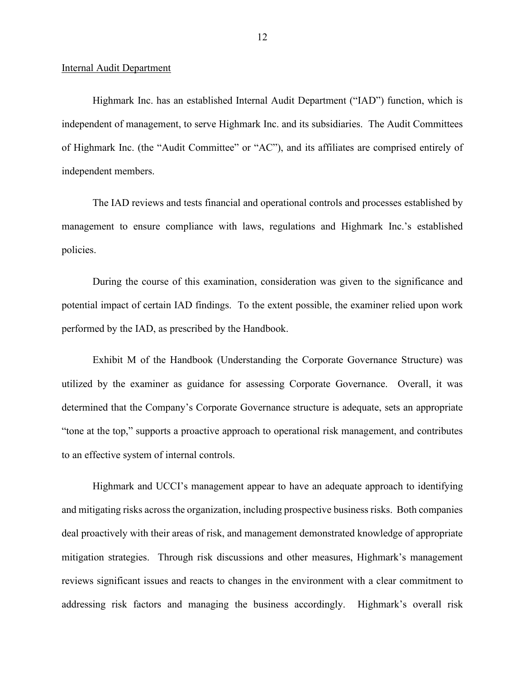#### Internal Audit Department

Highmark Inc. has an established Internal Audit Department ("IAD") function, which is independent of management, to serve Highmark Inc. and its subsidiaries. The Audit Committees of Highmark Inc. (the "Audit Committee" or "AC"), and its affiliates are comprised entirely of independent members.

The IAD reviews and tests financial and operational controls and processes established by management to ensure compliance with laws, regulations and Highmark Inc.'s established policies.

During the course of this examination, consideration was given to the significance and potential impact of certain IAD findings. To the extent possible, the examiner relied upon work performed by the IAD, as prescribed by the Handbook.

Exhibit M of the Handbook (Understanding the Corporate Governance Structure) was utilized by the examiner as guidance for assessing Corporate Governance. Overall, it was determined that the Company's Corporate Governance structure is adequate, sets an appropriate "tone at the top," supports a proactive approach to operational risk management, and contributes to an effective system of internal controls.

Highmark and UCCI's management appear to have an adequate approach to identifying and mitigating risks across the organization, including prospective business risks. Both companies deal proactively with their areas of risk, and management demonstrated knowledge of appropriate mitigation strategies. Through risk discussions and other measures, Highmark's management reviews significant issues and reacts to changes in the environment with a clear commitment to addressing risk factors and managing the business accordingly. Highmark's overall risk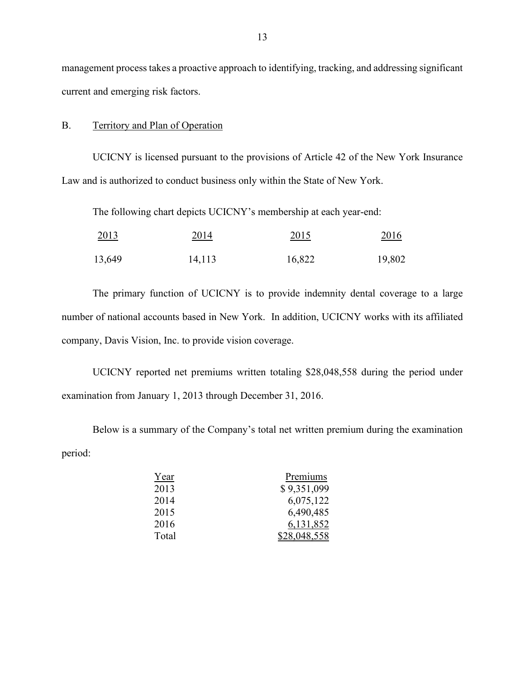management process takes a proactive approach to identifying, tracking, and addressing significant current and emerging risk factors.

#### B. Territory and Plan of Operation

UCICNY is licensed pursuant to the provisions of Article 42 of the New York Insurance Law and is authorized to conduct business only within the State of New York.

The following chart depicts UCICNY's membership at each year-end:

| 2013   | 2014   | 2015   | <u>2016</u> |
|--------|--------|--------|-------------|
| 13,649 | 14,113 | 16,822 | 19,802      |

The primary function of UCICNY is to provide indemnity dental coverage to a large number of national accounts based in New York. In addition, UCICNY works with its affiliated company, Davis Vision, Inc. to provide vision coverage.

UCICNY reported net premiums written totaling \$28,048,558 during the period under examination from January 1, 2013 through December 31, 2016.

Below is a summary of the Company's total net written premium during the examination period:

| Year  | Premiums     |
|-------|--------------|
| 2013  | \$9,351,099  |
| 2014  | 6,075,122    |
| 2015  | 6,490,485    |
| 2016  | 6,131,852    |
| Total | \$28,048,558 |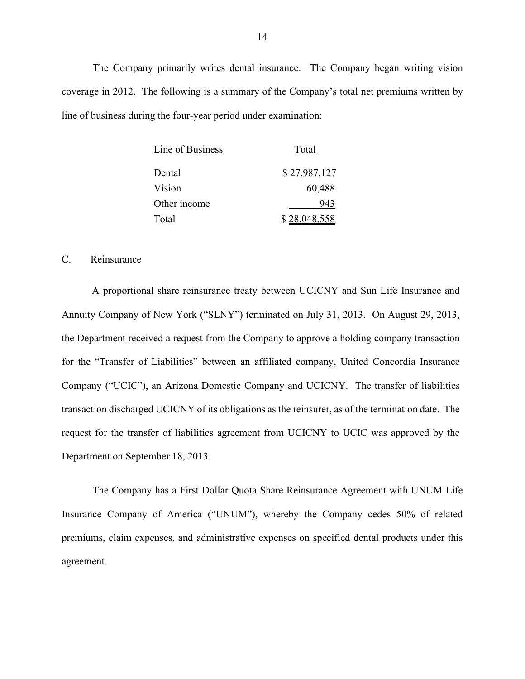The Company primarily writes dental insurance. The Company began writing vision coverage in 2012. The following is a summary of the Company's total net premiums written by line of business during the four-year period under examination:

| Line of Business | Total        |
|------------------|--------------|
| Dental           | \$27,987,127 |
| Vision           | 60,488       |
| Other income     | 943          |
| Total            | \$28,048,558 |

#### C. Reinsurance

A proportional share reinsurance treaty between UCICNY and Sun Life Insurance and Annuity Company of New York ("SLNY") terminated on July 31, 2013. On August 29, 2013, the Department received a request from the Company to approve a holding company transaction for the "Transfer of Liabilities" between an affiliated company, United Concordia Insurance Company ("UCIC"), an Arizona Domestic Company and UCICNY. The transfer of liabilities transaction discharged UCICNY of its obligations as the reinsurer, as of the termination date. The request for the transfer of liabilities agreement from UCICNY to UCIC was approved by the Department on September 18, 2013.

The Company has a First Dollar Quota Share Reinsurance Agreement with UNUM Life Insurance Company of America ("UNUM"), whereby the Company cedes 50% of related premiums, claim expenses, and administrative expenses on specified dental products under this agreement.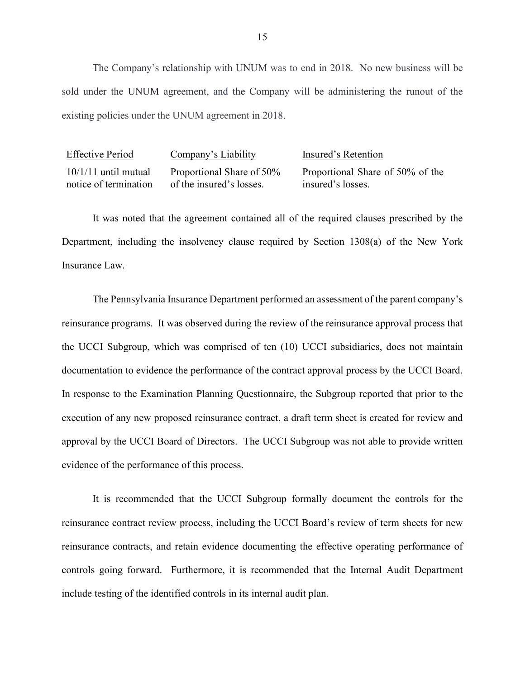The Company's relationship with UNUM was to end in 2018. No new business will be sold under the UNUM agreement, and the Company will be administering the runout of the existing policies under the UNUM agreement in 2018.

| <b>Effective Period</b> | Company's Liability       | Insured's Retention              |
|-------------------------|---------------------------|----------------------------------|
| $10/1/11$ until mutual  | Proportional Share of 50% | Proportional Share of 50% of the |
| notice of termination   | of the insured's losses.  | insured's losses.                |

It was noted that the agreement contained all of the required clauses prescribed by the Department, including the insolvency clause required by Section 1308(a) of the New York Insurance Law.

The Pennsylvania Insurance Department performed an assessment of the parent company's reinsurance programs. It was observed during the review of the reinsurance approval process that the UCCI Subgroup, which was comprised of ten (10) UCCI subsidiaries, does not maintain documentation to evidence the performance of the contract approval process by the UCCI Board. In response to the Examination Planning Questionnaire, the Subgroup reported that prior to the execution of any new proposed reinsurance contract, a draft term sheet is created for review and approval by the UCCI Board of Directors. The UCCI Subgroup was not able to provide written evidence of the performance of this process.

It is recommended that the UCCI Subgroup formally document the controls for the reinsurance contract review process, including the UCCI Board's review of term sheets for new reinsurance contracts, and retain evidence documenting the effective operating performance of controls going forward. Furthermore, it is recommended that the Internal Audit Department include testing of the identified controls in its internal audit plan.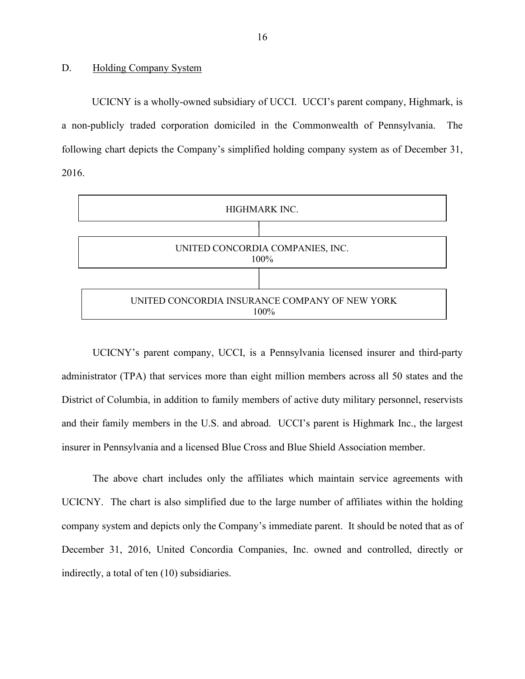#### D. Holding Company System

UCICNY is a wholly-owned subsidiary of UCCI. UCCI's parent company, Highmark, is a non-publicly traded corporation domiciled in the Commonwealth of Pennsylvania. The following chart depicts the Company's simplified holding company system as of December 31, 2016.



UCICNY's parent company, UCCI, is a Pennsylvania licensed insurer and third-party administrator (TPA) that services more than eight million members across all 50 states and the District of Columbia, in addition to family members of active duty military personnel, reservists and their family members in the U.S. and abroad. UCCI's parent is Highmark Inc., the largest insurer in Pennsylvania and a licensed Blue Cross and Blue Shield Association member.

The above chart includes only the affiliates which maintain service agreements with UCICNY. The chart is also simplified due to the large number of affiliates within the holding company system and depicts only the Company's immediate parent. It should be noted that as of December 31, 2016, United Concordia Companies, Inc. owned and controlled, directly or indirectly, a total of ten (10) subsidiaries.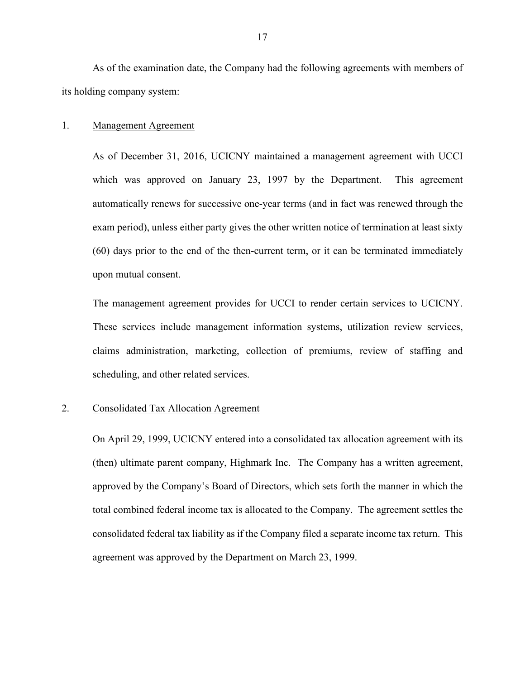As of the examination date, the Company had the following agreements with members of its holding company system:

#### 1. Management Agreement

As of December 31, 2016, UCICNY maintained a management agreement with UCCI which was approved on January 23, 1997 by the Department. This agreement automatically renews for successive one-year terms (and in fact was renewed through the exam period), unless either party gives the other written notice of termination at least sixty (60) days prior to the end of the then-current term, or it can be terminated immediately upon mutual consent.

The management agreement provides for UCCI to render certain services to UCICNY. These services include management information systems, utilization review services, claims administration, marketing, collection of premiums, review of staffing and scheduling, and other related services.

#### 2. Consolidated Tax Allocation Agreement

On April 29, 1999, UCICNY entered into a consolidated tax allocation agreement with its (then) ultimate parent company, Highmark Inc. The Company has a written agreement, approved by the Company's Board of Directors, which sets forth the manner in which the total combined federal income tax is allocated to the Company. The agreement settles the consolidated federal tax liability as if the Company filed a separate income tax return. This agreement was approved by the Department on March 23, 1999.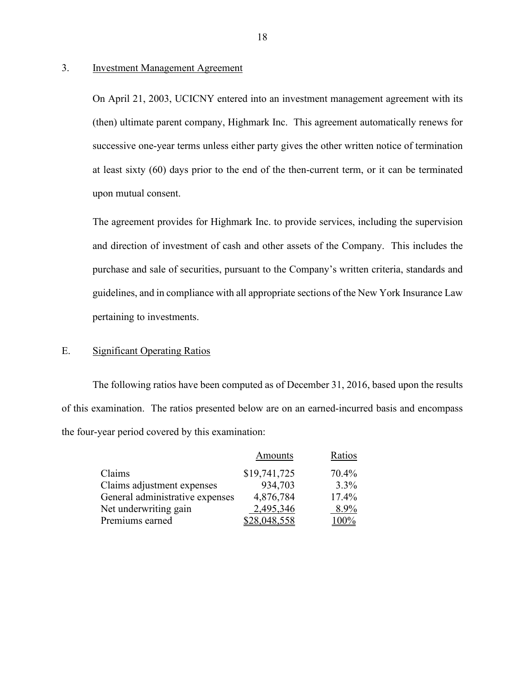#### 3. Investment Management Agreement

On April 21, 2003, UCICNY entered into an investment management agreement with its (then) ultimate parent company, Highmark Inc. This agreement automatically renews for successive one-year terms unless either party gives the other written notice of termination at least sixty (60) days prior to the end of the then-current term, or it can be terminated upon mutual consent.

The agreement provides for Highmark Inc. to provide services, including the supervision and direction of investment of cash and other assets of the Company. This includes the purchase and sale of securities, pursuant to the Company's written criteria, standards and guidelines, and in compliance with all appropriate sections of the New York Insurance Law pertaining to investments.

#### E. Significant Operating Ratios

The following ratios have been computed as of December 31, 2016, based upon the results of this examination. The ratios presented below are on an earned-incurred basis and encompass the four-year period covered by this examination:

|                                 | Amounts      | Ratios |
|---------------------------------|--------------|--------|
| Claims                          | \$19,741,725 | 70.4%  |
| Claims adjustment expenses      | 934,703      | 3.3%   |
| General administrative expenses | 4,876,784    | 17.4%  |
| Net underwriting gain           | 2,495,346    | 8.9%   |
| Premiums earned                 | \$28,048,558 | 100%   |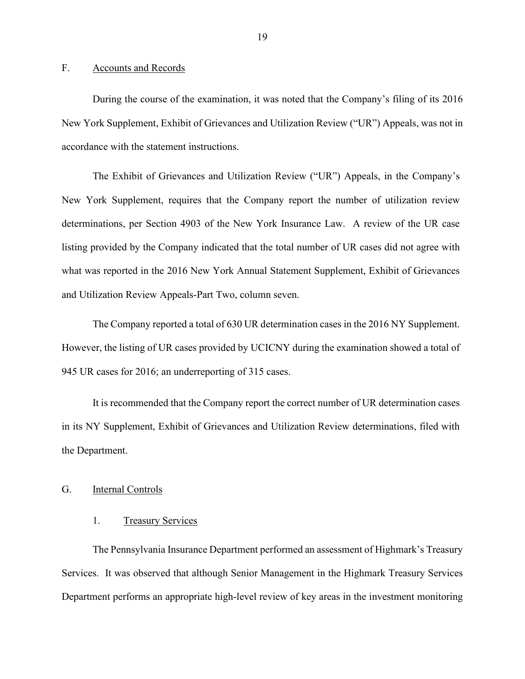#### F. Accounts and Records

During the course of the examination, it was noted that the Company's filing of its 2016 New York Supplement, Exhibit of Grievances and Utilization Review ("UR") Appeals, was not in accordance with the statement instructions.

The Exhibit of Grievances and Utilization Review ("UR") Appeals, in the Company's New York Supplement, requires that the Company report the number of utilization review determinations, per Section 4903 of the New York Insurance Law. A review of the UR case listing provided by the Company indicated that the total number of UR cases did not agree with what was reported in the 2016 New York Annual Statement Supplement, Exhibit of Grievances and Utilization Review Appeals-Part Two, column seven.

The Company reported a total of 630 UR determination cases in the 2016 NY Supplement. However, the listing of UR cases provided by UCICNY during the examination showed a total of 945 UR cases for 2016; an underreporting of 315 cases.

It is recommended that the Company report the correct number of UR determination cases in its NY Supplement, Exhibit of Grievances and Utilization Review determinations, filed with the Department.

#### G. Internal Controls

#### 1. Treasury Services

The Pennsylvania Insurance Department performed an assessment of Highmark's Treasury Services. It was observed that although Senior Management in the Highmark Treasury Services Department performs an appropriate high-level review of key areas in the investment monitoring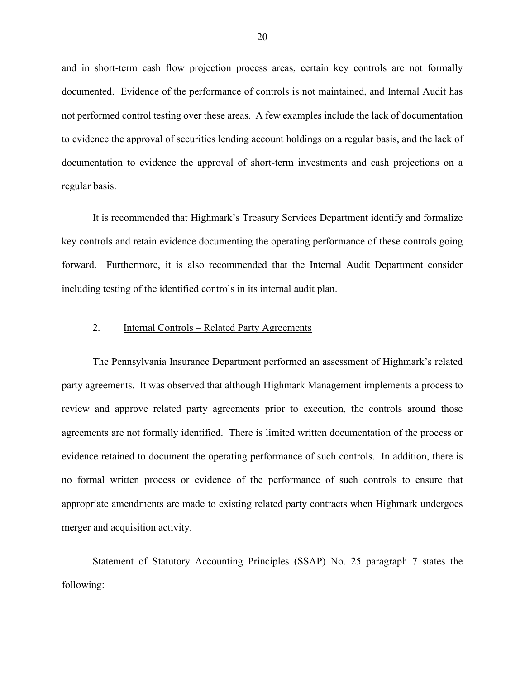and in short-term cash flow projection process areas, certain key controls are not formally documented. Evidence of the performance of controls is not maintained, and Internal Audit has not performed control testing over these areas. A few examples include the lack of documentation to evidence the approval of securities lending account holdings on a regular basis, and the lack of documentation to evidence the approval of short-term investments and cash projections on a regular basis.

It is recommended that Highmark's Treasury Services Department identify and formalize key controls and retain evidence documenting the operating performance of these controls going forward. Furthermore, it is also recommended that the Internal Audit Department consider including testing of the identified controls in its internal audit plan.

#### 2. Internal Controls – Related Party Agreements

The Pennsylvania Insurance Department performed an assessment of Highmark's related party agreements. It was observed that although Highmark Management implements a process to review and approve related party agreements prior to execution, the controls around those agreements are not formally identified. There is limited written documentation of the process or evidence retained to document the operating performance of such controls. In addition, there is no formal written process or evidence of the performance of such controls to ensure that appropriate amendments are made to existing related party contracts when Highmark undergoes merger and acquisition activity.

Statement of Statutory Accounting Principles (SSAP) No. 25 paragraph 7 states the following: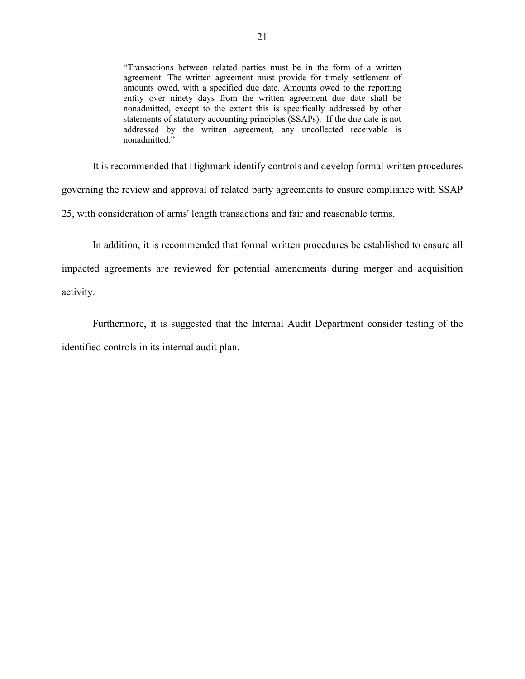"Transactions between related parties must be in the form of a written agreement. The written agreement must provide for timely settlement of amounts owed, with a specified due date. Amounts owed to the reporting entity over ninety days from the written agreement due date shall be nonadmitted, except to the extent this is specifically addressed by other statements of statutory accounting principles (SSAPs). If the due date is not addressed by the written agreement, any uncollected receivable is nonadmitted."

It is recommended that Highmark identify controls and develop formal written procedures governing the review and approval of related party agreements to ensure compliance with SSAP 25, with consideration of arms' length transactions and fair and reasonable terms.

In addition, it is recommended that formal written procedures be established to ensure all impacted agreements are reviewed for potential amendments during merger and acquisition activity.

Furthermore, it is suggested that the Internal Audit Department consider testing of the identified controls in its internal audit plan.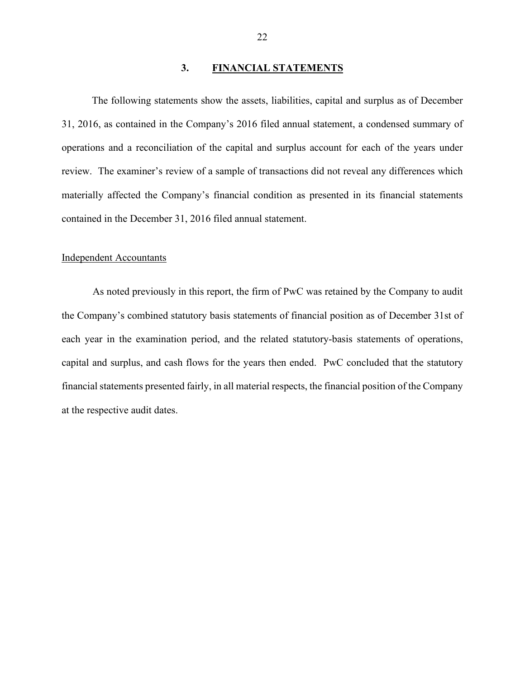#### **3. FINANCIAL STATEMENTS**

The following statements show the assets, liabilities, capital and surplus as of December 31, 2016, as contained in the Company's 2016 filed annual statement, a condensed summary of operations and a reconciliation of the capital and surplus account for each of the years under review. The examiner's review of a sample of transactions did not reveal any differences which materially affected the Company's financial condition as presented in its financial statements contained in the December 31, 2016 filed annual statement.

#### Independent Accountants

As noted previously in this report, the firm of PwC was retained by the Company to audit the Company's combined statutory basis statements of financial position as of December 31st of each year in the examination period, and the related statutory-basis statements of operations, capital and surplus, and cash flows for the years then ended. PwC concluded that the statutory financial statements presented fairly, in all material respects, the financial position of the Company at the respective audit dates.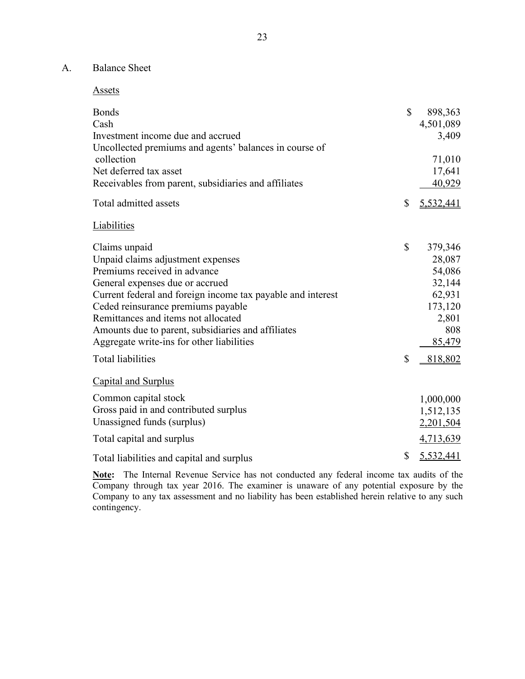## A. Balance Sheet

| <b>Bonds</b><br>Cash                                                                        | \$           | 898,363<br>4,501,089 |
|---------------------------------------------------------------------------------------------|--------------|----------------------|
| Investment income due and accrued<br>Uncollected premiums and agents' balances in course of |              | 3,409                |
| collection                                                                                  |              | 71,010               |
| Net deferred tax asset                                                                      |              | 17,641               |
| Receivables from parent, subsidiaries and affiliates                                        |              | 40,929               |
| Total admitted assets                                                                       | $\mathbb{S}$ | 5,532,441            |
| <b>Liabilities</b>                                                                          |              |                      |
| Claims unpaid                                                                               | $\mathbb{S}$ | 379,346              |
| Unpaid claims adjustment expenses                                                           |              | 28,087               |
| Premiums received in advance                                                                |              | 54,086               |
| General expenses due or accrued                                                             |              | 32,144               |
| Current federal and foreign income tax payable and interest                                 |              | 62,931               |
| Ceded reinsurance premiums payable                                                          |              | 173,120              |
| Remittances and items not allocated                                                         |              | 2,801                |
| Amounts due to parent, subsidiaries and affiliates                                          |              | 808                  |
| Aggregate write-ins for other liabilities                                                   |              | 85,479               |
| <b>Total liabilities</b>                                                                    | \$           | 818,802              |
| <b>Capital and Surplus</b>                                                                  |              |                      |
| Common capital stock                                                                        |              | 1,000,000            |
| Gross paid in and contributed surplus                                                       |              | 1,512,135            |
| Unassigned funds (surplus)                                                                  |              | 2,201,504            |
| Total capital and surplus                                                                   |              | 4,713,639            |
| Total liabilities and capital and surplus                                                   | \$           | 5,532,441            |

**Note:** The Internal Revenue Service has not conducted any federal income tax audits of the Company through tax year 2016. The examiner is unaware of any potential exposure by the Company to any tax assessment and no liability has been established herein relative to any such contingency.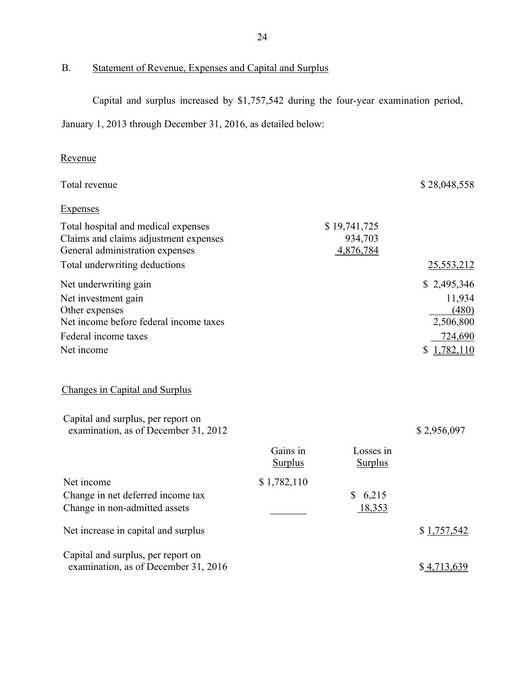# B. Statement of Revenue, Expenses and Capital and Surplus

Capital and surplus increased by \$1,757,542 during the four-year examination period,

January 1, 2013 through December 31, 2016, as detailed below:

# Revenue

| Total revenue                                                                                                                    |                            |                                      | \$28,048,558                                           |
|----------------------------------------------------------------------------------------------------------------------------------|----------------------------|--------------------------------------|--------------------------------------------------------|
| <b>Expenses</b>                                                                                                                  |                            |                                      |                                                        |
| Total hospital and medical expenses<br>Claims and claims adjustment expenses<br>General administration expenses                  |                            | \$19,741,725<br>934,703<br>4,876,784 |                                                        |
| Total underwriting deductions                                                                                                    |                            |                                      | 25,553,212                                             |
| Net underwriting gain<br>Net investment gain<br>Other expenses<br>Net income before federal income taxes<br>Federal income taxes |                            |                                      | \$2,495,346<br>11,934<br>(480)<br>2,506,800<br>724,690 |
| Net income                                                                                                                       |                            |                                      | 1,782,110<br>\$                                        |
| Changes in Capital and Surplus                                                                                                   |                            |                                      |                                                        |
| Capital and surplus, per report on<br>examination, as of December 31, 2012                                                       |                            |                                      | \$2,956,097                                            |
|                                                                                                                                  | Gains in<br><b>Surplus</b> | Losses in<br><b>Surplus</b>          |                                                        |
| Net income<br>Change in net deferred income tax<br>Change in non-admitted assets                                                 | \$1,782,110                | 6,215<br>\$<br>18,353                |                                                        |
| Net increase in capital and surplus                                                                                              |                            |                                      | \$1,757,542                                            |
| Capital and surplus, per report on<br>examination, as of December 31, 2016                                                       |                            |                                      | \$4,713,639                                            |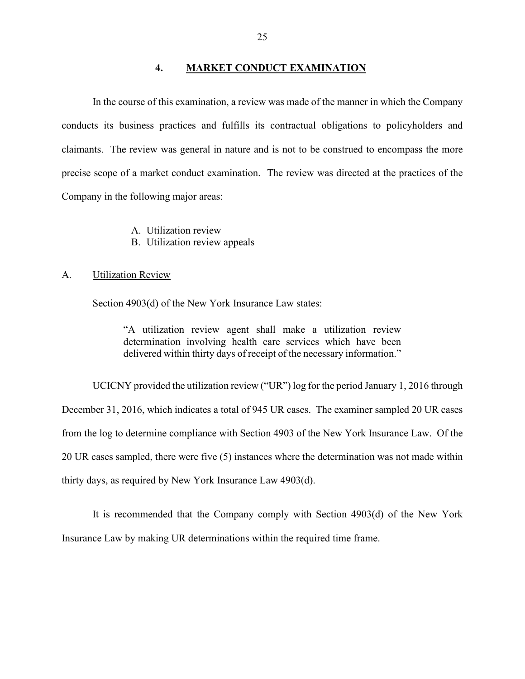#### **4. MARKET CONDUCT EXAMINATION**

In the course of this examination, a review was made of the manner in which the Company conducts its business practices and fulfills its contractual obligations to policyholders and claimants. The review was general in nature and is not to be construed to encompass the more precise scope of a market conduct examination. The review was directed at the practices of the Company in the following major areas:

- A. Utilization review
- B. Utilization review appeals

#### A. Utilization Review

Section 4903(d) of the New York Insurance Law states:

"A utilization review agent shall make a utilization review determination involving health care services which have been delivered within thirty days of receipt of the necessary information."

UCICNY provided the utilization review ("UR") log for the period January 1, 2016 through December 31, 2016, which indicates a total of 945 UR cases. The examiner sampled 20 UR cases from the log to determine compliance with Section 4903 of the New York Insurance Law. Of the 20 UR cases sampled, there were five (5) instances where the determination was not made within thirty days, as required by New York Insurance Law 4903(d).

It is recommended that the Company comply with Section 4903(d) of the New York Insurance Law by making UR determinations within the required time frame.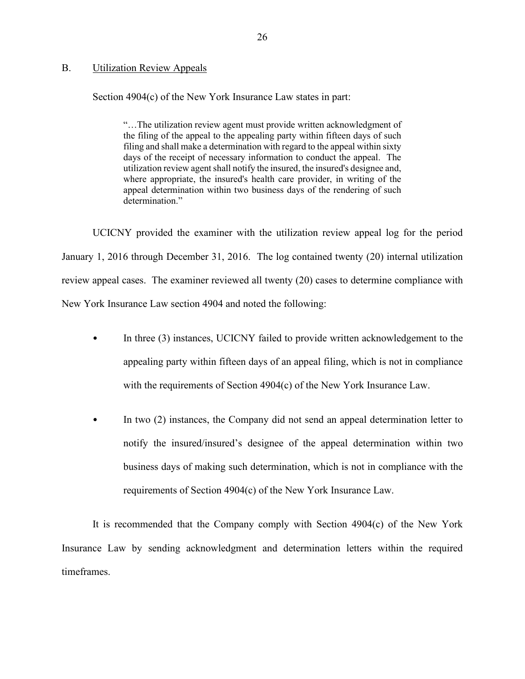#### B. Utilization Review Appeals

Section 4904(c) of the New York Insurance Law states in part:

"…The utilization review agent must provide written acknowledgment of the filing of the appeal to the appealing party within fifteen days of such filing and shall make a determination with regard to the appeal within sixty days of the receipt of necessary information to conduct the appeal. The utilization review agent shall notify the insured, the insured's designee and, where appropriate, the insured's health care provider, in writing of the appeal determination within two business days of the rendering of such determination."

UCICNY provided the examiner with the utilization review appeal log for the period January 1, 2016 through December 31, 2016. The log contained twenty (20) internal utilization review appeal cases. The examiner reviewed all twenty (20) cases to determine compliance with New York Insurance Law section 4904 and noted the following:

- In three (3) instances, UCICNY failed to provide written acknowledgement to the appealing party within fifteen days of an appeal filing, which is not in compliance with the requirements of Section 4904(c) of the New York Insurance Law.
- In two (2) instances, the Company did not send an appeal determination letter to notify the insured/insured's designee of the appeal determination within two business days of making such determination, which is not in compliance with the requirements of Section 4904(c) of the New York Insurance Law.

It is recommended that the Company comply with Section 4904(c) of the New York Insurance Law by sending acknowledgment and determination letters within the required timeframes.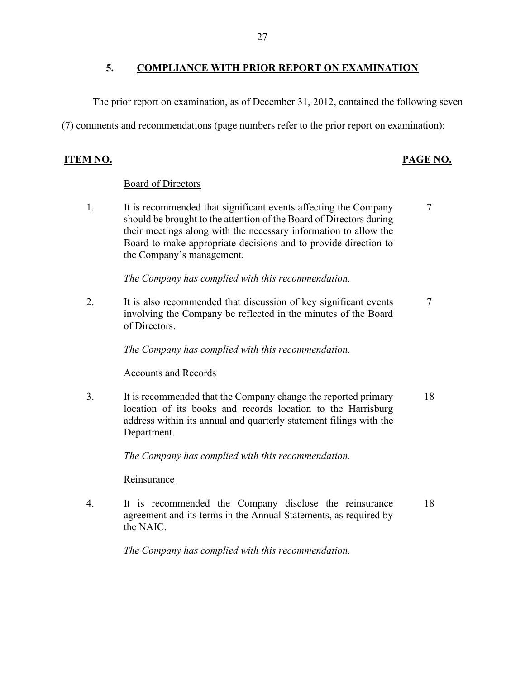### **5. COMPLIANCE WITH PRIOR REPORT ON EXAMINATION**

The prior report on examination, as of December 31, 2012, contained the following seven

(7) comments and recommendations (page numbers refer to the prior report on examination):

#### **ITEM NO. PAGE NO.**

#### Board of Directors

1. It is recommended that significant events affecting the Company should be brought to the attention of the Board of Directors during their meetings along with the necessary information to allow the Board to make appropriate decisions and to provide direction to the Company's management. 7

*The Company has complied with this recommendation.*

2. It is also recommended that discussion of key significant events involving the Company be reflected in the minutes of the Board of Directors. 7

*The Company has complied with this recommendation.* 

#### Accounts and Records

3. It is recommended that the Company change the reported primary location of its books and records location to the Harrisburg address within its annual and quarterly statement filings with the Department. 18

*The Company has complied with this recommendation.*

**Reinsurance** 

4. It is recommended the Company disclose the reinsurance agreement and its terms in the Annual Statements, as required by the NAIC. 18

*The Company has complied with this recommendation.*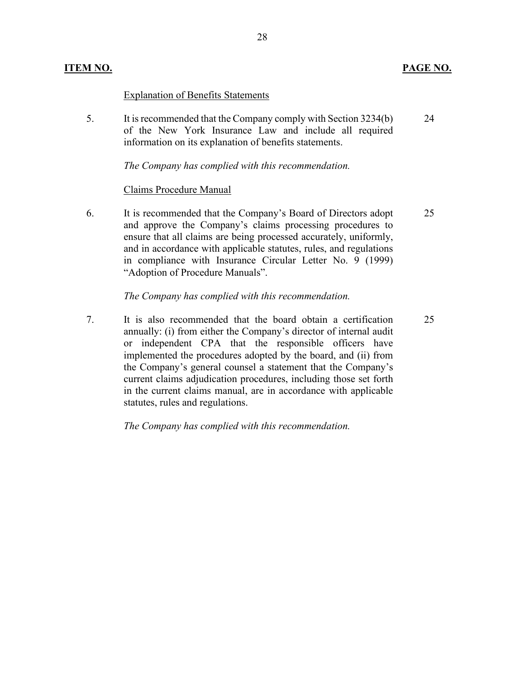#### **ITEM NO. PAGE NO.**

#### Explanation of Benefits Statements

5. It is recommended that the Company comply with Section 3234(b) of the New York Insurance Law and include all required information on its explanation of benefits statements. 24

*The Company has complied with this recommendation.*

#### Claims Procedure Manual

6. It is recommended that the Company's Board of Directors adopt and approve the Company's claims processing procedures to ensure that all claims are being processed accurately, uniformly, and in accordance with applicable statutes, rules, and regulations in compliance with Insurance Circular Letter No. 9 (1999) "Adoption of Procedure Manuals". 25

#### *The Company has complied with this recommendation.*

7. It is also recommended that the board obtain a certification annually: (i) from either the Company's director of internal audit or independent CPA that the responsible officers have implemented the procedures adopted by the board, and (ii) from the Company's general counsel a statement that the Company's current claims adjudication procedures, including those set forth in the current claims manual, are in accordance with applicable statutes, rules and regulations. 25

*The Company has complied with this recommendation.*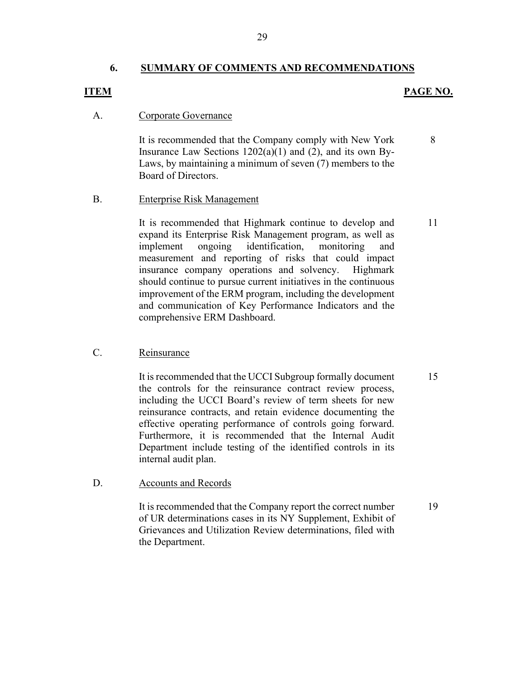#### **6. SUMMARY OF COMMENTS AND RECOMMENDATIONS**

#### **ITEM PAGE NO.**

11

#### A. Corporate Governance

It is recommended that the Company comply with New York Insurance Law Sections  $1202(a)(1)$  and  $(2)$ , and its own By-Laws, by maintaining a minimum of seven (7) members to the Board of Directors. 8

#### B. Enterprise Risk Management

It is recommended that Highmark continue to develop and expand its Enterprise Risk Management program, as well as implement ongoing identification, monitoring and measurement and reporting of risks that could impact insurance company operations and solvency. Highmark should continue to pursue current initiatives in the continuous improvement of the ERM program, including the development and communication of Key Performance Indicators and the comprehensive ERM Dashboard.

#### C. Reinsurance

It is recommended that the UCCI Subgroup formally document the controls for the reinsurance contract review process, including the UCCI Board's review of term sheets for new reinsurance contracts, and retain evidence documenting the effective operating performance of controls going forward. Furthermore, it is recommended that the Internal Audit Department include testing of the identified controls in its internal audit plan.

#### D. Accounts and Records

It is recommended that the Company report the correct number of UR determinations cases in its NY Supplement, Exhibit of Grievances and Utilization Review determinations, filed with the Department.

15

19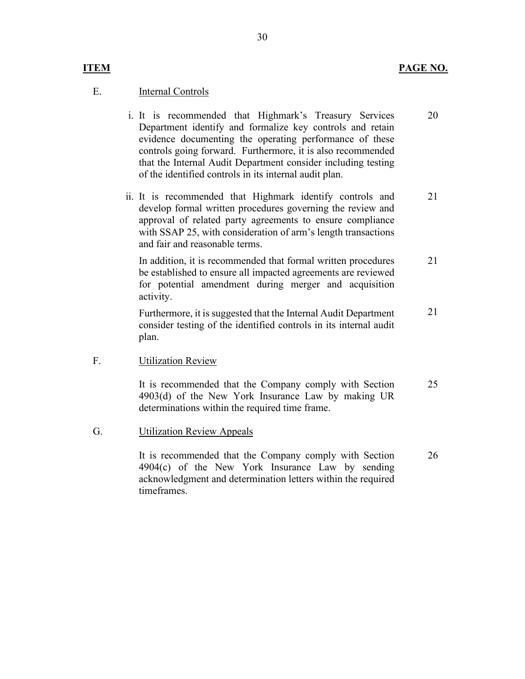#### **ITEM PAGE NO.**

#### E. Internal Controls

- i. It is recommended that Highmark's Treasury Services Department identify and formalize key controls and retain evidence documenting the operating performance of these controls going forward. Furthermore, it is also recommended that the Internal Audit Department consider including testing of the identified controls in its internal audit plan. 20
- ii. It is recommended that Highmark identify controls and develop formal written procedures governing the review and approval of related party agreements to ensure compliance with SSAP 25, with consideration of arm's length transactions and fair and reasonable terms. 21

In addition, it is recommended that formal written procedures be established to ensure all impacted agreements are reviewed for potential amendment during merger and acquisition activity. 21

Furthermore, it is suggested that the Internal Audit Department consider testing of the identified controls in its internal audit plan. 21

#### F. Utilization Review

It is recommended that the Company comply with Section 4903(d) of the New York Insurance Law by making UR determinations within the required time frame. 25

G. Utilization Review Appeals

It is recommended that the Company comply with Section 4904(c) of the New York Insurance Law by sending acknowledgment and determination letters within the required timeframes. 26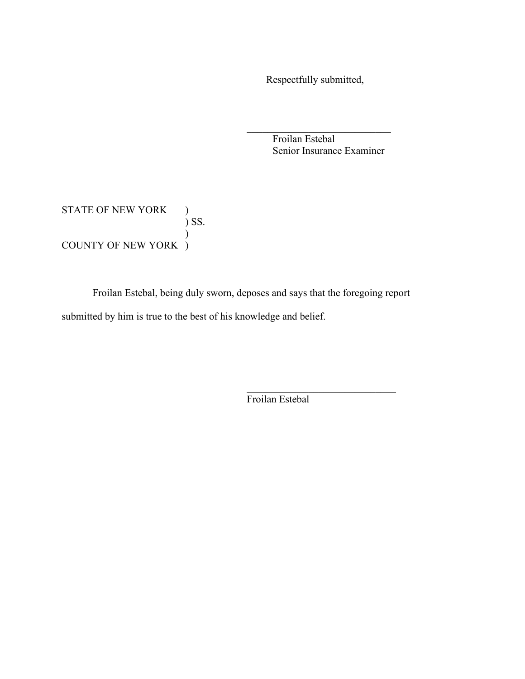Respectfully submitted,

 $\mathcal{L}_\mathcal{L}$  , which is a set of the set of the set of the set of the set of the set of the set of the set of the set of the set of the set of the set of the set of the set of the set of the set of the set of the set of

 Froilan Estebal Senior Insurance Examiner

## STATE OF NEW YORK  $\quad$  ) ) SS.  $\mathcal{L}$ COUNTY OF NEW YORK )

Froilan Estebal, being duly sworn, deposes and says that the foregoing report submitted by him is true to the best of his knowledge and belief.

Froilan Estebal